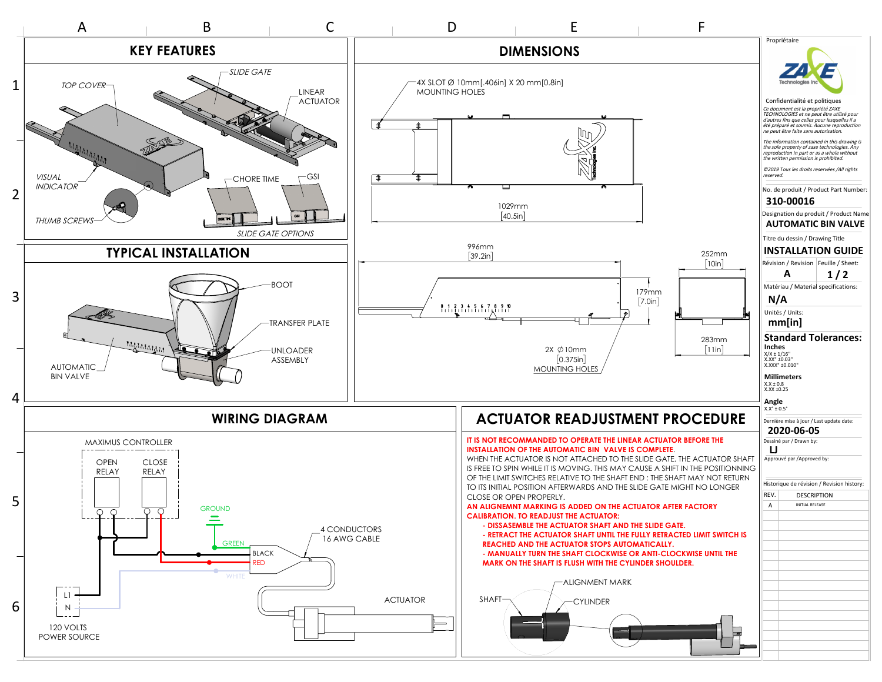